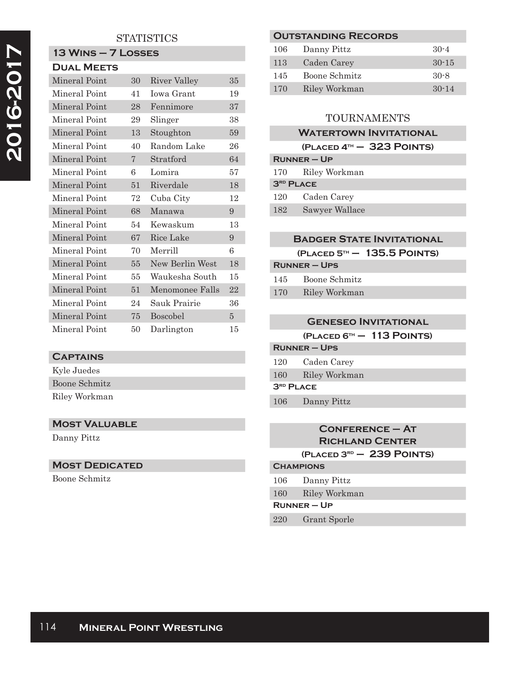## **STATISTICS**

## **13 Wins – 7 Losses Dual Meets**

| DUAL MEE IS   |        |                  |                |
|---------------|--------|------------------|----------------|
| Mineral Point | 30     | River Valley     | 35             |
| Mineral Point | 41     | Iowa Grant       | 19             |
| Mineral Point | 28     | Fennimore        | 37             |
| Mineral Point | 29     | Slinger          | 38             |
| Mineral Point | 13     | Stoughton        | 59             |
| Mineral Point | 40     | Random Lake      | 26             |
| Mineral Point | 7      | <b>Stratford</b> | 64             |
| Mineral Point | 6      | Lomira           | 57             |
| Mineral Point | 51     | Riverdale        | 18             |
| Mineral Point | 72     | Cuba City        | 12             |
| Mineral Point | 68     | Manawa           | 9              |
| Mineral Point | 54     | Kewaskum         | 13             |
| Mineral Point | 67     | Rice Lake        | 9              |
| Mineral Point | 70     | Merrill          | 6              |
| Mineral Point | 55     | New Berlin West  | 18             |
| Mineral Point | 55     | Waukesha South   | 15             |
| Mineral Point | $51\,$ | Menomonee Falls  | 22             |
| Mineral Point | 24     | Sauk Prairie     | 36             |
| Mineral Point | 75     | Boscobel         | $\overline{5}$ |
| Mineral Point | 50     | Darlington       | 15             |

## **Captains**

Kyle Juedes Boone Schmitz Riley Workman

## **Most Valuable**

Danny Pittz

## **Most Dedicated**

Boone Schmitz

## **Outstanding Records**

| 106 | Danny Pittz   | $30 - 4$ |
|-----|---------------|----------|
| 113 | Caden Carey   | $30-15$  |
| 145 | Boone Schmitz | $30 - 8$ |
| 170 | Riley Workman | $30-14$  |

## TOURNAMENTS

# **Watertown Invitational**

|                  | $(PLACED 4TH - 323$ POINTS) |
|------------------|-----------------------------|
|                  | $R$ UNNER – UP              |
| 170              | Riley Workman               |
| <b>3RD PLACE</b> |                             |
| 120              | Caden Carey                 |
| 182              | Sawyer Wallace              |

## **Badger State Invitational**

**(Placed 5th – 135.5 Points)**

| <b>RUNNER – UPS</b> |               |  |
|---------------------|---------------|--|
| 145                 | Boone Schmitz |  |
| 170                 | Riley Workman |  |

## **Geneseo Invitational**

**(Placed 6th – 113 Points)**

## **Runner – Ups** 120 Caden Carey 160 Riley Workman

**3rd Place**

106 Danny Pittz

## **Conference – At Richland Center (Placed 3rd – 239 Points)**

#### **Champions**

- 106 Danny Pittz
- 160 Riley Workman

# **Runner – Up**

220 Grant Sporle